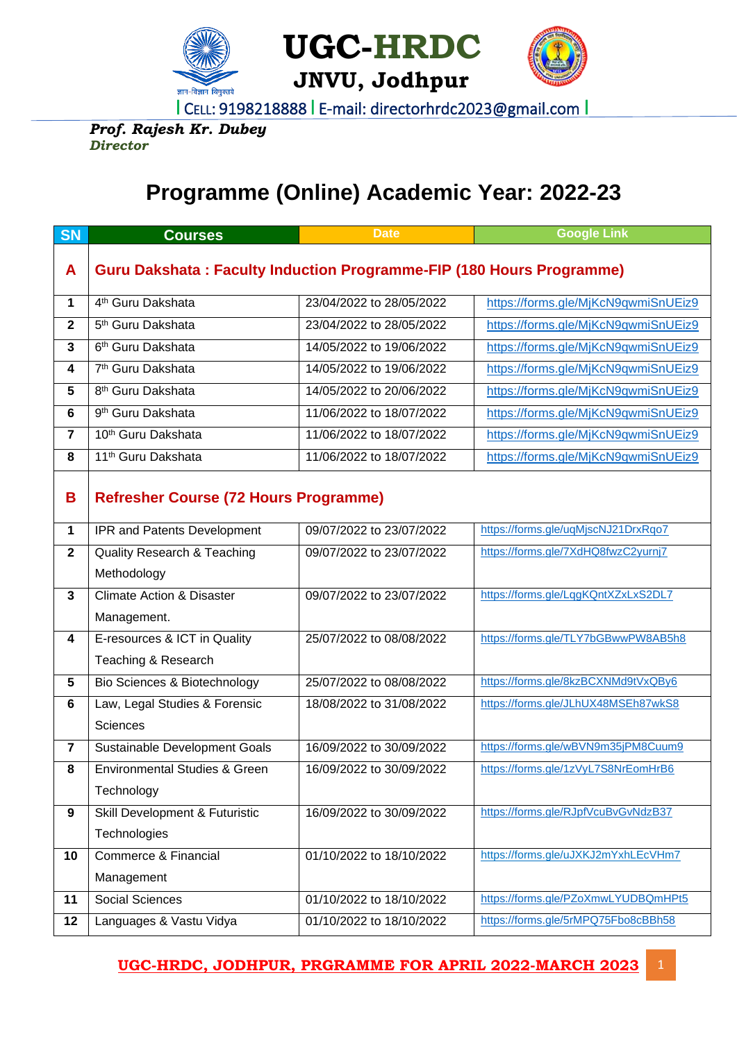

**UGC-HRDC**



I CELL: 9198218888 I E-mail: directorhrdc2023@gmail.com I

*Prof. Rajesh Kr. Dubey Director*

## **Programme (Online) Academic Year: 2022-23**

| <b>SN</b>               | <b>Courses</b>                                                              | <b>Date</b>              | <b>Google Link</b>                  |  |  |  |
|-------------------------|-----------------------------------------------------------------------------|--------------------------|-------------------------------------|--|--|--|
| A                       | <b>Guru Dakshata: Faculty Induction Programme-FIP (180 Hours Programme)</b> |                          |                                     |  |  |  |
|                         |                                                                             |                          |                                     |  |  |  |
| 1                       | 4 <sup>th</sup> Guru Dakshata                                               | 23/04/2022 to 28/05/2022 | https://forms.gle/MjKcN9qwmiSnUEiz9 |  |  |  |
| $\mathbf{2}$            | 5 <sup>th</sup> Guru Dakshata                                               | 23/04/2022 to 28/05/2022 | https://forms.gle/MjKcN9qwmiSnUEiz9 |  |  |  |
| $\overline{\mathbf{3}}$ | 6 <sup>th</sup> Guru Dakshata                                               | 14/05/2022 to 19/06/2022 | https://forms.gle/MjKcN9qwmiSnUEiz9 |  |  |  |
| 4                       | 7 <sup>th</sup> Guru Dakshata                                               | 14/05/2022 to 19/06/2022 | https://forms.gle/MjKcN9qwmiSnUEiz9 |  |  |  |
| 5                       | 8 <sup>th</sup> Guru Dakshata                                               | 14/05/2022 to 20/06/2022 | https://forms.gle/MjKcN9qwmiSnUEiz9 |  |  |  |
| 6                       | 9 <sup>th</sup> Guru Dakshata                                               | 11/06/2022 to 18/07/2022 | https://forms.gle/MjKcN9qwmiSnUEiz9 |  |  |  |
| $\overline{7}$          | 10 <sup>th</sup> Guru Dakshata                                              | 11/06/2022 to 18/07/2022 | https://forms.gle/MjKcN9qwmiSnUEiz9 |  |  |  |
| 8                       | 11 <sup>th</sup> Guru Dakshata                                              | 11/06/2022 to 18/07/2022 | https://forms.gle/MjKcN9qwmiSnUEiz9 |  |  |  |
|                         |                                                                             |                          |                                     |  |  |  |
| B                       | <b>Refresher Course (72 Hours Programme)</b>                                |                          |                                     |  |  |  |
| 1                       | IPR and Patents Development                                                 | 09/07/2022 to 23/07/2022 | https://forms.gle/uqMjscNJ21DrxRqo7 |  |  |  |
| $\mathbf{2}$            | <b>Quality Research &amp; Teaching</b>                                      | 09/07/2022 to 23/07/2022 | https://forms.gle/7XdHQ8fwzC2yurnj7 |  |  |  |
|                         | Methodology                                                                 |                          |                                     |  |  |  |
| 3                       | <b>Climate Action &amp; Disaster</b>                                        | 09/07/2022 to 23/07/2022 | https://forms.gle/LqgKQntXZxLxS2DL7 |  |  |  |
|                         | Management.                                                                 |                          |                                     |  |  |  |
| 4                       | E-resources & ICT in Quality                                                | 25/07/2022 to 08/08/2022 | https://forms.gle/TLY7bGBwwPW8AB5h8 |  |  |  |
|                         | Teaching & Research                                                         |                          |                                     |  |  |  |
| 5                       | Bio Sciences & Biotechnology                                                | 25/07/2022 to 08/08/2022 | https://forms.gle/8kzBCXNMd9tVxQBy6 |  |  |  |
| 6                       | Law, Legal Studies & Forensic                                               | 18/08/2022 to 31/08/2022 | https://forms.gle/JLhUX48MSEh87wkS8 |  |  |  |
|                         | <b>Sciences</b>                                                             |                          |                                     |  |  |  |
| $\overline{7}$          | Sustainable Development Goals                                               | 16/09/2022 to 30/09/2022 | https://forms.gle/wBVN9m35jPM8Cuum9 |  |  |  |
| 8                       | <b>Environmental Studies &amp; Green</b>                                    | 16/09/2022 to 30/09/2022 | https://forms.gle/1zVyL7S8NrEomHrB6 |  |  |  |
|                         | Technology                                                                  |                          |                                     |  |  |  |
| 9                       | Skill Development & Futuristic                                              | 16/09/2022 to 30/09/2022 | https://forms.gle/RJpfVcuBvGvNdzB37 |  |  |  |
|                         | Technologies                                                                |                          |                                     |  |  |  |
| 10                      | Commerce & Financial                                                        | 01/10/2022 to 18/10/2022 | https://forms.gle/uJXKJ2mYxhLEcVHm7 |  |  |  |
|                         | Management                                                                  |                          |                                     |  |  |  |
| 11                      | Social Sciences                                                             | 01/10/2022 to 18/10/2022 | https://forms.gle/PZoXmwLYUDBQmHPt5 |  |  |  |
| 12                      | Languages & Vastu Vidya                                                     | 01/10/2022 to 18/10/2022 | https://forms.gle/5rMPQ75Fbo8cBBh58 |  |  |  |

**UGC-HRDC, JODHPUR, PRGRAMME FOR APRIL 2022-MARCH 2023** 1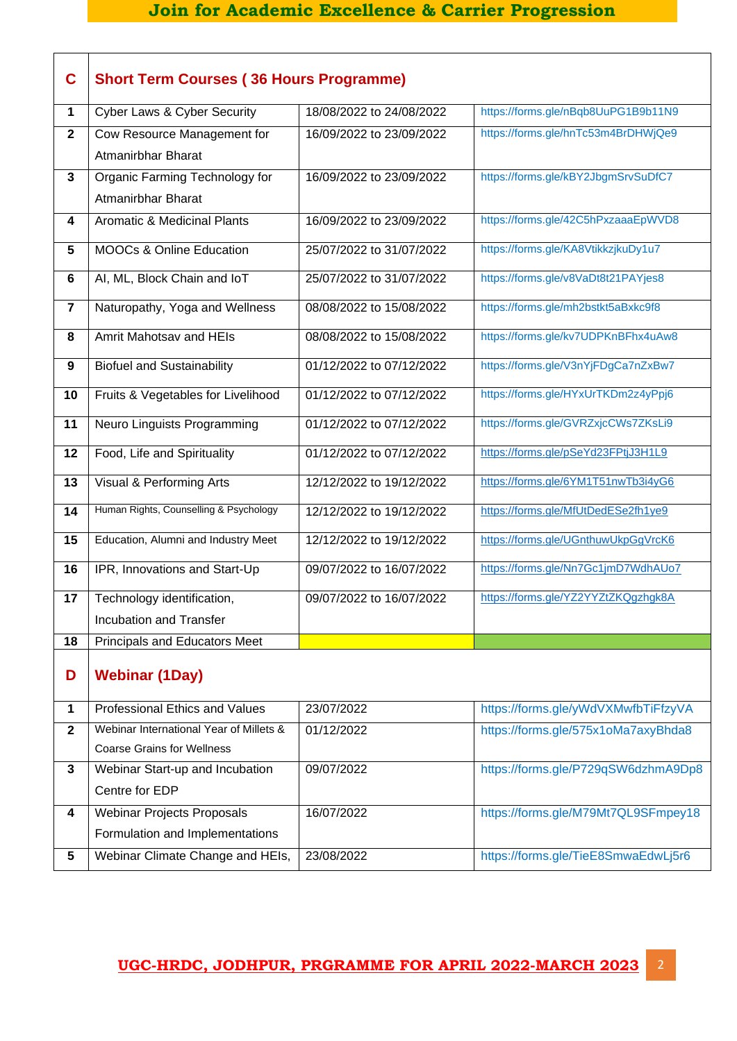## **Join for Academic Excellence & Carrier Progression**

| C                       | <b>Short Term Courses (36 Hours Programme)</b>                               |                          |                                     |
|-------------------------|------------------------------------------------------------------------------|--------------------------|-------------------------------------|
| $\mathbf 1$             | Cyber Laws & Cyber Security                                                  | 18/08/2022 to 24/08/2022 | https://forms.gle/nBqb8UuPG1B9b11N9 |
| $\mathbf{2}$            | Cow Resource Management for<br>Atmanirbhar Bharat                            | 16/09/2022 to 23/09/2022 | https://forms.gle/hnTc53m4BrDHWjQe9 |
| 3                       | Organic Farming Technology for<br>Atmanirbhar Bharat                         | 16/09/2022 to 23/09/2022 | https://forms.gle/kBY2JbgmSrvSuDfC7 |
| 4                       | <b>Aromatic &amp; Medicinal Plants</b>                                       | 16/09/2022 to 23/09/2022 | https://forms.gle/42C5hPxzaaaEpWVD8 |
| $5\phantom{.0}$         | <b>MOOCs &amp; Online Education</b>                                          | 25/07/2022 to 31/07/2022 | https://forms.gle/KA8VtikkzjkuDy1u7 |
| 6                       | AI, ML, Block Chain and IoT                                                  | 25/07/2022 to 31/07/2022 | https://forms.gle/v8VaDt8t21PAYjes8 |
| $\overline{\mathbf{r}}$ | Naturopathy, Yoga and Wellness                                               | 08/08/2022 to 15/08/2022 | https://forms.gle/mh2bstkt5aBxkc9f8 |
| 8                       | <b>Amrit Mahotsay and HEIs</b>                                               | 08/08/2022 to 15/08/2022 | https://forms.gle/kv7UDPKnBFhx4uAw8 |
| 9                       | <b>Biofuel and Sustainability</b>                                            | 01/12/2022 to 07/12/2022 | https://forms.gle/V3nYjFDgCa7nZxBw7 |
| 10                      | Fruits & Vegetables for Livelihood                                           | 01/12/2022 to 07/12/2022 | https://forms.gle/HYxUrTKDm2z4yPpj6 |
| 11                      | Neuro Linguists Programming                                                  | 01/12/2022 to 07/12/2022 | https://forms.gle/GVRZxjcCWs7ZKsLi9 |
| 12                      | Food, Life and Spirituality                                                  | 01/12/2022 to 07/12/2022 | https://forms.gle/pSeYd23FPtjJ3H1L9 |
| 13                      | Visual & Performing Arts                                                     | 12/12/2022 to 19/12/2022 | https://forms.gle/6YM1T51nwTb3i4yG6 |
| 14                      | Human Rights, Counselling & Psychology                                       | 12/12/2022 to 19/12/2022 | https://forms.gle/MfUtDedESe2fh1ye9 |
| 15                      | Education, Alumni and Industry Meet                                          | 12/12/2022 to 19/12/2022 | https://forms.gle/UGnthuwUkpGgVrcK6 |
| 16                      | IPR, Innovations and Start-Up                                                | 09/07/2022 to 16/07/2022 | https://forms.gle/Nn7Gc1jmD7WdhAUo7 |
| 17                      | Technology identification,                                                   | 09/07/2022 to 16/07/2022 | https://forms.gle/YZ2YYZtZKQgzhgk8A |
|                         | Incubation and Transfer                                                      |                          |                                     |
| 18                      | <b>Principals and Educators Meet</b>                                         |                          |                                     |
| D                       | <b>Webinar (1Day)</b>                                                        |                          |                                     |
| 1                       | <b>Professional Ethics and Values</b>                                        | 23/07/2022               | https://forms.gle/yWdVXMwfbTiFfzyVA |
| $\mathbf{2}$            | Webinar International Year of Millets &<br><b>Coarse Grains for Wellness</b> | 01/12/2022               | https://forms.gle/575x1oMa7axyBhda8 |
| 3                       | Webinar Start-up and Incubation<br>Centre for EDP                            | 09/07/2022               | https://forms.gle/P729qSW6dzhmA9Dp8 |
| 4                       | <b>Webinar Projects Proposals</b><br>Formulation and Implementations         | 16/07/2022               | https://forms.gle/M79Mt7QL9SFmpey18 |
| 5                       | Webinar Climate Change and HEIs,                                             | 23/08/2022               | https://forms.gle/TieE8SmwaEdwLj5r6 |